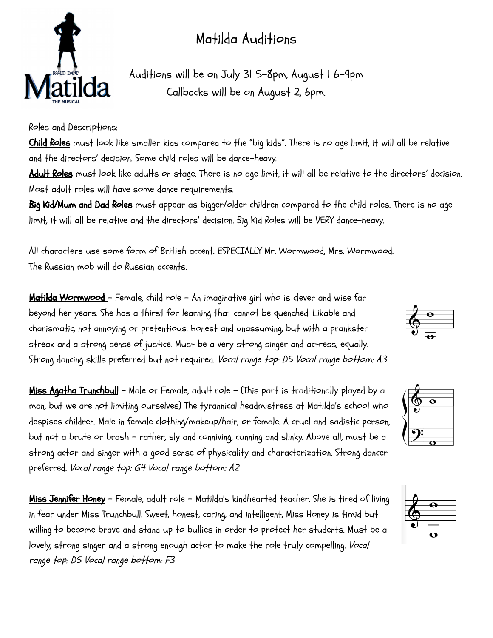## Matilda Auditions



Auditions will be on July 31 5-8pm, August 1 6-9pm Callbacks will be on August 2, 6pm.

Roles and Descriptions:

Child Roles must look like smaller kids compared to the "big kids". There is no age limit, it will all be relative and the directors' decision. Some child roles will be dance-heavy.

Adult Roles must look like adults on stage. There is no age limit, it will all be relative to the directors' decision. Most adult roles will have some dance requirements.

Big Kid/Mum and Dad Roles must appear as bigger/older children compared to the child roles. There is no age limit, it will all be relative and the directors' decision. Big Kid Roles will be VERY dance-heavy.

All characters use some form of British accent. ESPECIALLY Mr. Wormwood, Mrs. Wormwood. The Russian mob will do Russian accents.

Matilda Wormwood - Female, child role - An imaginative girl who is clever and wise far beyond her years. She has a thirst for learning that cannot be quenched. Likable and charismatic, not annoying or pretentious. Honest and unassuming, but with a prankster streak and a strong sense of justice. Must be a very strong singer and actress, equally. Strong dancing skills preferred but not required. Vocal range top: DS Vocal range bottom: A3

Miss Agatha Trunchbull - Male or Female, adult role - (This part is traditionally played by a man, but we are not limiting ourselves) The tyrannical headmistress at Matilda's school who despises children. Male in female clothing/makeup/hair, or female. A cruel and sadistic person, but not a brute or brash - rather, sly and conniving, cunning and slinky. Above all, must be a strong actor and singer with a good sense of physicality and characterization. Strong dancer preferred. *Vocal range top: G4 Vocal range bottom: A2* 

Miss Jennifer Honey - Female, adult role - Matilda's kindhearted teacher. She is tired of living in fear under Miss Trunchbull. Sweet, honest, caring, and intelligent, Miss Honey is timid but willing to become brave and stand up to bullies in order to protect her students. Must be a lovely, strong singer and a strong enough actor to make the role truly compelling. *Vocal* range top: DS Vocal range bottom: F3





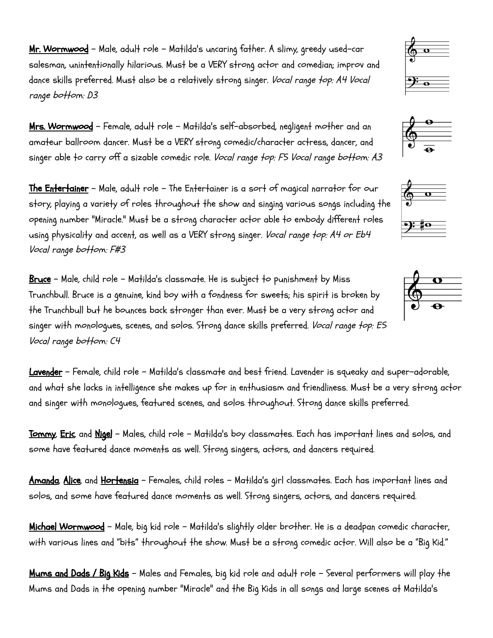Mr. Wormwood - Male, adult role - Matilda's uncaring father. A slimy, greedy used-car salesman, unintentionally hilarious. Must be a VERY strong actor and comedian; improv and dance skills preferred. Must also be a relatively strong singer. Vocal range top: A4 Vocal range bottom: D3

Mrs. Wormwood - Female, adult role - Matilda's self-absorbed, negligent mother and an amateur ballroom dancer. Must be a VERY strong comedic/character actress, dancer, and singer able to carry off a sizable comedic role. *Vocal range top: FS Vocal range bottom: A3* 

The Entertainer - Male, adult role - The Entertainer is a sort of magical narrator for our story, playing a variety of roles throughout the show and singing various songs including the opening number "Miracle." Must be a strong character actor able to embody different roles using physicality and accent, as well as a VERY strong singer. *Vocal range top: A4 or Eb4* Vocal range bottom: F#3

Bruce - Male, child role - Matilda's classmate. He is subject to punishment by Miss Trunchbull. Bruce is a genuine, kind boy with a fondness for sweets; his spirit is broken by the Trunchbull but he bounces back stronger than ever. Must be a very strong actor and singer with monologues, scenes, and solos. Strong dance skills preferred. *Vocal range top: ES* Vocal range bottom: C4

Lavender - Female, child role - Matilda's classmate and best friend. Lavender is squeaky and super-adorable, and what she lacks in intelligence she makes up for in enthusiasm and friendliness. Must be a very strong actor and singer with monologues, featured scenes, and solos throughout. Strong dance skills preferred.

Tommy, Eric, and Nigel - Males, child role - Matilda's boy classmates. Each has important lines and solos, and some have featured dance moments as well. Strong singers, actors, and dancers required.

Amanda, Alice, and Hortensia - Females, child roles - Matilda's girl classmates. Each has important lines and solos, and some have featured dance moments as well. Strong singers, actors, and dancers required.

Michael Wormwood - Male, big kid role - Matilda's slightly older brother. He is a deadpan comedic character, with various lines and "bits" throughout the show. Must be a strong comedic actor. Will also be a "Big Kid."

<u>Mums and Dads / Big Kids</u> - Males and Females, big kid role and adult role - Several performers will play the Mums and Dads in the opening number "Miracle" and the Big Kids in all songs and large scenes at Matilda's